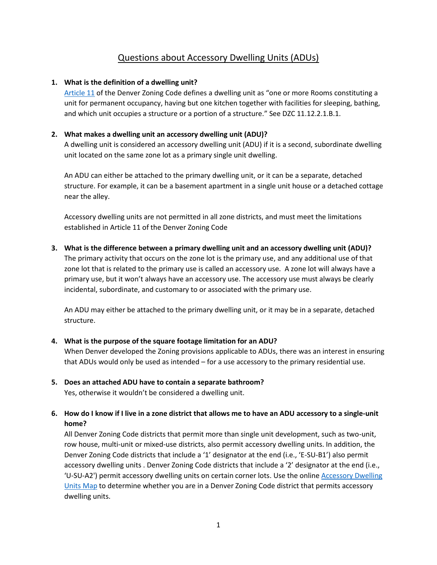# Questions about Accessory Dwelling Units (ADUs)

### **1. What is the definition of a dwelling unit?**

[Article 11](https://denvergov.org/files/assets/public/community-planning-and-development/documents/zoning/denver-zoning-code/denver_zoning_code_article11_use_limitations.pdf) of the Denver Zoning Code defines a dwelling unit as "one or more Rooms constituting a unit for permanent occupancy, having but one kitchen together with facilities for sleeping, bathing, and which unit occupies a structure or a portion of a structure." See DZC 11.12.2.1.B.1.

## **2. What makes a dwelling unit an accessory dwelling unit (ADU)?**

A dwelling unit is considered an accessory dwelling unit (ADU) if it is a second, subordinate dwelling unit located on the same zone lot as a primary single unit dwelling.

An ADU can either be attached to the primary dwelling unit, or it can be a separate, detached structure. For example, it can be a basement apartment in a single unit house or a detached cottage near the alley.

Accessory dwelling units are not permitted in all zone districts, and must meet the limitations established in Article 11 of the Denver Zoning Code

# **3. What is the difference between a primary dwelling unit and an accessory dwelling unit (ADU)?**

The primary activity that occurs on the zone lot is the primary use, and any additional use of that zone lot that is related to the primary use is called an accessory use. A zone lot will always have a primary use, but it won't always have an accessory use. The accessory use must always be clearly incidental, subordinate, and customary to or associated with the primary use.

An ADU may either be attached to the primary dwelling unit, or it may be in a separate, detached structure.

### **4. What is the purpose of the square footage limitation for an ADU?**

When Denver developed the Zoning provisions applicable to ADUs, there was an interest in ensuring that ADUs would only be used as intended – for a use accessory to the primary residential use.

### **5. Does an attached ADU have to contain a separate bathroom?**

Yes, otherwise it wouldn't be considered a dwelling unit.

## **6. How do I know if I live in a zone district that allows me to have an ADU accessory to a single-unit home?**

All Denver Zoning Code districts that permit more than single unit development, such as two-unit, row house, multi-unit or mixed-use districts, also permit accessory dwelling units. In addition, the Denver Zoning Code districts that include a '1' designator at the end (i.e., 'E-SU-B1') also permit accessory dwelling units . Denver Zoning Code districts that include a '2' designator at the end (i.e., 'U-SU-A2') permit accessory dwelling units on certain corner lots. Use the online [Accessory Dwelling](https://www.denvergov.org/Maps/map/accessorydwellings)  [Units Map](https://www.denvergov.org/Maps/map/accessorydwellings) to determine whether you are in a Denver Zoning Code district that permits accessory dwelling units.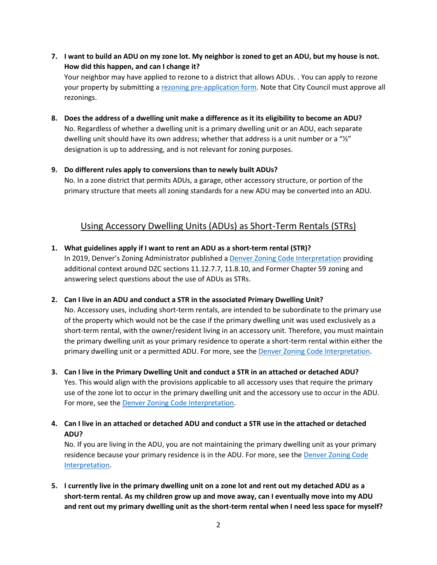**7. I want to build an ADU on my zone lot. My neighbor is zoned to get an ADU, but my house is not. How did this happen, and can I change it?**

Your neighbor may have applied to rezone to a district that allows ADUs. . You can apply to rezone your property by submitting a [rezoning pre-application form.](https://www.denvergov.org/Government/Departments/Community-Planning-and-Development/Denver-Zoning-Code/Rezoning-Process) Note that City Council must approve all rezonings.

**8. Does the address of a dwelling unit make a difference as it its eligibility to become an ADU?**  No. Regardless of whether a dwelling unit is a primary dwelling unit or an ADU, each separate dwelling unit should have its own address; whether that address is a unit number or a " $\frac{1}{2}$ " designation is up to addressing, and is not relevant for zoning purposes.

## **9. Do different rules apply to conversions than to newly built ADUs?**

No. In a zone district that permits ADUs, a garage, other accessory structure, or portion of the primary structure that meets all zoning standards for a new ADU may be converted into an ADU.

# Using Accessory Dwelling Units (ADUs) as Short-Term Rentals (STRs)

## **1. What guidelines apply if I want to rent an ADU as a short-term rental (STR)?**

In 2019, Denver's Zoning Administrator published [a Denver Zoning Code Interpretation](https://www.denvergov.org/content/dam/denvergov/Portals/646/documents/Zoning/DZC/Interpretations_and_Use_Determinations/Short_Term_Rentals.pdf) providing additional context around DZC sections 11.12.7.7, 11.8.10, and Former Chapter 59 zoning and answering select questions about the use of ADUs as STRs.

### **2. Can I live in an ADU and conduct a STR in the associated Primary Dwelling Unit?**

No. Accessory uses, including short-term rentals, are intended to be subordinate to the primary use of the property which would not be the case if the primary dwelling unit was used exclusively as a short-term rental, with the owner/resident living in an accessory unit. Therefore, you must maintain the primary dwelling unit as your primary residence to operate a short-term rental within either the primary dwelling unit or a permitted ADU. For more, see the [Denver Zoning Code Interpretation.](https://www.denvergov.org/content/dam/denvergov/Portals/646/documents/Zoning/DZC/Interpretations_and_Use_Determinations/Short_Term_Rentals.pdf)

- **3. Can I live in the Primary Dwelling Unit and conduct a STR in an attached or detached ADU?**  Yes. This would align with the provisions applicable to all accessory uses that require the primary use of the zone lot to occur in the primary dwelling unit and the accessory use to occur in the ADU. For more, see th[e Denver Zoning Code Interpretation.](https://www.denvergov.org/content/dam/denvergov/Portals/646/documents/Zoning/DZC/Interpretations_and_Use_Determinations/Short_Term_Rentals.pdf)
- **4. Can I live in an attached or detached ADU and conduct a STR use in the attached or detached ADU?**

No. If you are living in the ADU, you are not maintaining the primary dwelling unit as your primary residence because your primary residence is in the ADU. For more, see the Denver Zoning Code [Interpretation.](https://www.denvergov.org/content/dam/denvergov/Portals/646/documents/Zoning/DZC/Interpretations_and_Use_Determinations/Short_Term_Rentals.pdf)

**5. I currently live in the primary dwelling unit on a zone lot and rent out my detached ADU as a short-term rental. As my children grow up and move away, can I eventually move into my ADU and rent out my primary dwelling unit as the short-term rental when I need less space for myself?**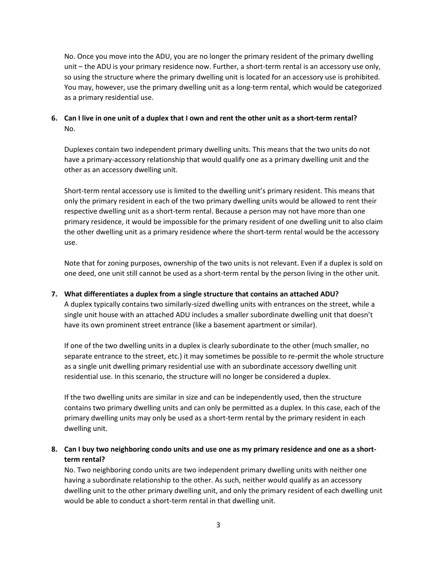No. Once you move into the ADU, you are no longer the primary resident of the primary dwelling unit – the ADU is your primary residence now. Further, a short-term rental is an accessory use only, so using the structure where the primary dwelling unit is located for an accessory use is prohibited. You may, however, use the primary dwelling unit as a long-term rental, which would be categorized as a primary residential use.

**6. Can I live in one unit of a duplex that I own and rent the other unit as a short-term rental?**  No.

Duplexes contain two independent primary dwelling units. This means that the two units do not have a primary-accessory relationship that would qualify one as a primary dwelling unit and the other as an accessory dwelling unit.

Short-term rental accessory use is limited to the dwelling unit's primary resident. This means that only the primary resident in each of the two primary dwelling units would be allowed to rent their respective dwelling unit as a short-term rental. Because a person may not have more than one primary residence, it would be impossible for the primary resident of one dwelling unit to also claim the other dwelling unit as a primary residence where the short-term rental would be the accessory use.

Note that for zoning purposes, ownership of the two units is not relevant. Even if a duplex is sold on one deed, one unit still cannot be used as a short-term rental by the person living in the other unit.

### **7. What differentiates a duplex from a single structure that contains an attached ADU?**

A duplex typically contains two similarly-sized dwelling units with entrances on the street, while a single unit house with an attached ADU includes a smaller subordinate dwelling unit that doesn't have its own prominent street entrance (like a basement apartment or similar).

If one of the two dwelling units in a duplex is clearly subordinate to the other (much smaller, no separate entrance to the street, etc.) it may sometimes be possible to re-permit the whole structure as a single unit dwelling primary residential use with an subordinate accessory dwelling unit residential use. In this scenario, the structure will no longer be considered a duplex.

If the two dwelling units are similar in size and can be independently used, then the structure contains two primary dwelling units and can only be permitted as a duplex. In this case, each of the primary dwelling units may only be used as a short-term rental by the primary resident in each dwelling unit.

## **8. Can I buy two neighboring condo units and use one as my primary residence and one as a shortterm rental?**

No. Two neighboring condo units are two independent primary dwelling units with neither one having a subordinate relationship to the other. As such, neither would qualify as an accessory dwelling unit to the other primary dwelling unit, and only the primary resident of each dwelling unit would be able to conduct a short-term rental in that dwelling unit.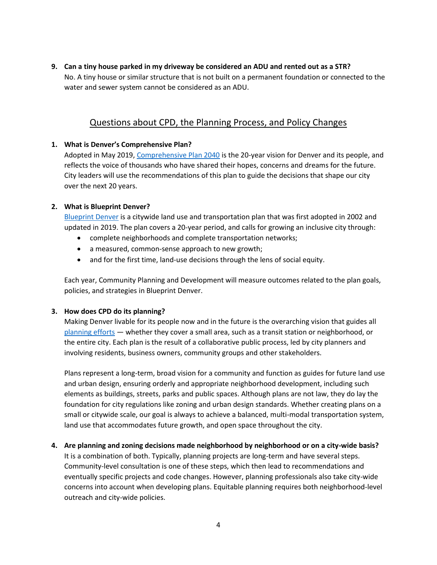**9. Can a tiny house parked in my driveway be considered an ADU and rented out as a STR?** No. A tiny house or similar structure that is not built on a permanent foundation or connected to the water and sewer system cannot be considered as an ADU.

# Questions about CPD, the Planning Process, and Policy Changes

## **1. What is Denver's Comprehensive Plan?**

Adopted in May 2019[, Comprehensive Plan 2040](https://www.denvergov.org/Government/Departments/Community-Planning-and-Development/Comprehensive-Plan-2040) is the 20-year vision for Denver and its people, and reflects the voice of thousands who have shared their hopes, concerns and dreams for the future. City leaders will use the recommendations of this plan to guide the decisions that shape our city over the next 20 years.

## **2. What is Blueprint Denver?**

[Blueprint Denver](https://www.denvergov.org/content/denvergov/en/community-planning-and-development/planning-and-design/blueprint-denver.html) is a citywide land use and transportation plan that was first adopted in 2002 and updated in 2019. The plan covers a 20-year period, and calls for growing an inclusive city through:

- complete neighborhoods and complete transportation networks;
- a measured, common-sense approach to new growth;
- and for the first time, land-use decisions through the lens of social equity.

Each year, Community Planning and Development will measure outcomes related to the plan goals, policies, and strategies in Blueprint Denver.

### **3. How does CPD do its planning?**

Making Denver livable for its people now and in the future is the overarching vision that guides all [planning efforts](https://www.denvergov.org/content/denvergov/en/community-planning-and-development/planning-and-design/how-we-plan.html) — whether they cover a small area, such as a transit station or neighborhood, or the entire city. Each plan is the result of a collaborative public process, led by city planners and involving residents, business owners, community groups and other stakeholders.

Plans represent a long-term, broad vision for a community and function as guides for future land use and urban design, ensuring orderly and appropriate neighborhood development, including such elements as buildings, streets, parks and public spaces. Although plans are not law, they do lay the foundation for city regulations like zoning and urban design standards. Whether creating plans on a small or citywide scale, our goal is always to achieve a balanced, multi-modal transportation system, land use that accommodates future growth, and open space throughout the city.

## **4. Are planning and zoning decisions made neighborhood by neighborhood or on a city-wide basis?** It is a combination of both. Typically, planning projects are long-term and have several steps. Community-level consultation is one of these steps, which then lead to recommendations and eventually specific projects and code changes. However, planning professionals also take city-wide concerns into account when developing plans. Equitable planning requires both neighborhood-level outreach and city-wide policies.